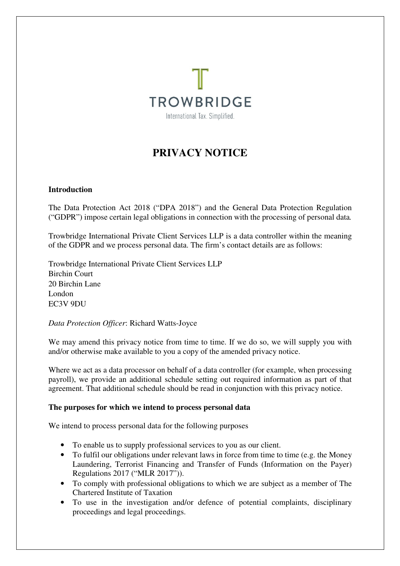

# **PRIVACY NOTICE**

## **Introduction**

The Data Protection Act 2018 ("DPA 2018") and the General Data Protection Regulation ("GDPR") impose certain legal obligations in connection with the processing of personal data*.* 

Trowbridge International Private Client Services LLP is a data controller within the meaning of the GDPR and we process personal data. The firm's contact details are as follows:

Trowbridge International Private Client Services LLP Birchin Court 20 Birchin Lane London EC3V 9DU

*Data Protection Officer*: Richard Watts-Joyce

We may amend this privacy notice from time to time. If we do so, we will supply you with and/or otherwise make available to you a copy of the amended privacy notice.

Where we act as a data processor on behalf of a data controller (for example, when processing payroll), we provide an additional schedule setting out required information as part of that agreement. That additional schedule should be read in conjunction with this privacy notice.

#### **The purposes for which we intend to process personal data**

We intend to process personal data for the following purposes

- To enable us to supply professional services to you as our client.
- To fulfil our obligations under relevant laws in force from time to time (e.g. the Money Laundering, Terrorist Financing and Transfer of Funds (Information on the Payer) Regulations 2017 ("MLR 2017")).
- To comply with professional obligations to which we are subject as a member of The Chartered Institute of Taxation
- To use in the investigation and/or defence of potential complaints, disciplinary proceedings and legal proceedings.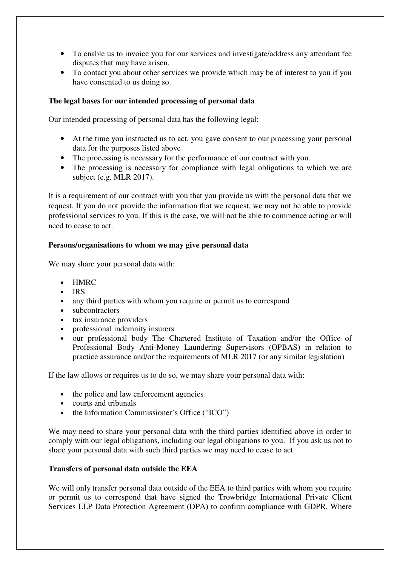- To enable us to invoice you for our services and investigate/address any attendant fee disputes that may have arisen.
- To contact you about other services we provide which may be of interest to you if you have consented to us doing so.

# **The legal bases for our intended processing of personal data**

Our intended processing of personal data has the following legal:

- At the time you instructed us to act, you gave consent to our processing your personal data for the purposes listed above
- The processing is necessary for the performance of our contract with you.
- The processing is necessary for compliance with legal obligations to which we are subject (e.g. MLR 2017).

It is a requirement of our contract with you that you provide us with the personal data that we request. If you do not provide the information that we request, we may not be able to provide professional services to you. If this is the case, we will not be able to commence acting or will need to cease to act.

## **Persons/organisations to whom we may give personal data**

We may share your personal data with:

- HMRC
- IRS
- any third parties with whom you require or permit us to correspond
- subcontractors
- 
- tax insurance providers<br>• professional indemnity • professional indemnity insurers
- our professional body The Chartered Institute of Taxation and/or the Office of Professional Body Anti-Money Laundering Supervisors (OPBAS) in relation to practice assurance and/or the requirements of MLR 2017 (or any similar legislation)

If the law allows or requires us to do so, we may share your personal data with:

- the police and law enforcement agencies
- courts and tribunals
- the Information Commissioner's Office ("ICO")

We may need to share your personal data with the third parties identified above in order to comply with our legal obligations, including our legal obligations to you. If you ask us not to share your personal data with such third parties we may need to cease to act.

## **Transfers of personal data outside the EEA**

We will only transfer personal data outside of the EEA to third parties with whom you require or permit us to correspond that have signed the Trowbridge International Private Client Services LLP Data Protection Agreement (DPA) to confirm compliance with GDPR. Where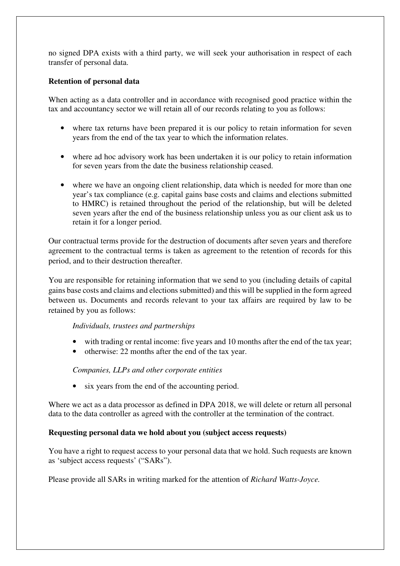no signed DPA exists with a third party, we will seek your authorisation in respect of each transfer of personal data.

## **Retention of personal data**

When acting as a data controller and in accordance with recognised good practice within the tax and accountancy sector we will retain all of our records relating to you as follows:

- where tax returns have been prepared it is our policy to retain information for seven years from the end of the tax year to which the information relates.
- where ad hoc advisory work has been undertaken it is our policy to retain information for seven years from the date the business relationship ceased.
- where we have an ongoing client relationship, data which is needed for more than one year's tax compliance (e.g. capital gains base costs and claims and elections submitted to HMRC) is retained throughout the period of the relationship, but will be deleted seven years after the end of the business relationship unless you as our client ask us to retain it for a longer period.

Our contractual terms provide for the destruction of documents after seven years and therefore agreement to the contractual terms is taken as agreement to the retention of records for this period, and to their destruction thereafter.

You are responsible for retaining information that we send to you (including details of capital gains base costs and claims and elections submitted) and this will be supplied in the form agreed between us. Documents and records relevant to your tax affairs are required by law to be retained by you as follows:

#### *Individuals, trustees and partnerships*

- with trading or rental income: five years and 10 months after the end of the tax year;
- otherwise: 22 months after the end of the tax year.

# *Companies, LLPs and other corporate entities*

• six years from the end of the accounting period.

Where we act as a data processor as defined in DPA 2018, we will delete or return all personal data to the data controller as agreed with the controller at the termination of the contract.

# **Requesting personal data we hold about you (subject access requests)**

You have a right to request access to your personal data that we hold. Such requests are known as 'subject access requests' ("SARs").

Please provide all SARs in writing marked for the attention of *Richard Watts-Joyce.*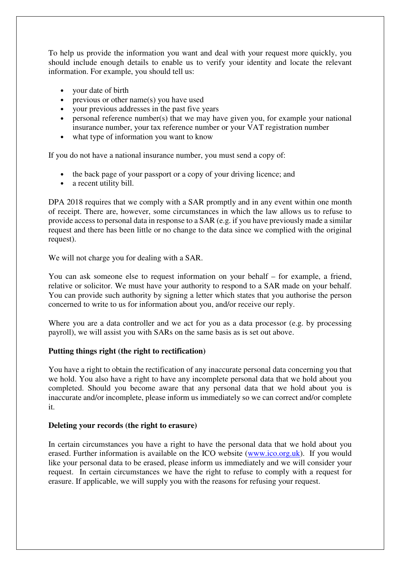To help us provide the information you want and deal with your request more quickly, you should include enough details to enable us to verify your identity and locate the relevant information. For example, you should tell us:

- your date of birth
- previous or other name(s) you have used
- your previous addresses in the past five years
- personal reference number(s) that we may have given you, for example your national insurance number, your tax reference number or your VAT registration number
- what type of information you want to know

If you do not have a national insurance number, you must send a copy of:

- the back page of your passport or a copy of your driving licence; and
- a recent utility bill.

DPA 2018 requires that we comply with a SAR promptly and in any event within one month of receipt. There are, however, some circumstances in which the law allows us to refuse to provide access to personal data in response to a SAR (e.g. if you have previously made a similar request and there has been little or no change to the data since we complied with the original request).

We will not charge you for dealing with a SAR.

You can ask someone else to request information on your behalf – for example, a friend, relative or solicitor. We must have your authority to respond to a SAR made on your behalf. You can provide such authority by signing a letter which states that you authorise the person concerned to write to us for information about you, and/or receive our reply.

Where you are a data controller and we act for you as a data processor (e.g. by processing payroll), we will assist you with SARs on the same basis as is set out above.

#### **Putting things right (the right to rectification)**

You have a right to obtain the rectification of any inaccurate personal data concerning you that we hold. You also have a right to have any incomplete personal data that we hold about you completed. Should you become aware that any personal data that we hold about you is inaccurate and/or incomplete, please inform us immediately so we can correct and/or complete it.

#### **Deleting your records (the right to erasure)**

In certain circumstances you have a right to have the personal data that we hold about you erased. Further information is available on the ICO website (www.ico.org.uk). If you would like your personal data to be erased, please inform us immediately and we will consider your request. In certain circumstances we have the right to refuse to comply with a request for erasure. If applicable, we will supply you with the reasons for refusing your request.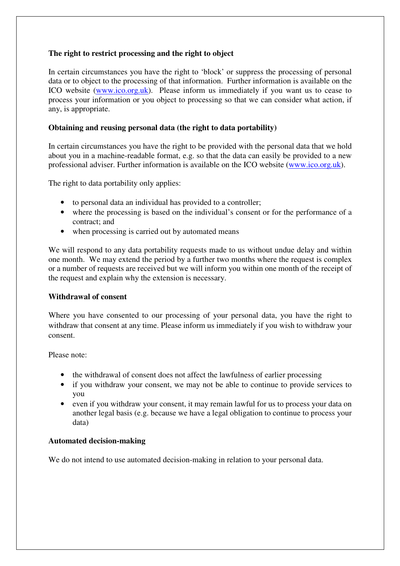# **The right to restrict processing and the right to object**

In certain circumstances you have the right to 'block' or suppress the processing of personal data or to object to the processing of that information. Further information is available on the ICO website (www.ico.org.uk). Please inform us immediately if you want us to cease to process your information or you object to processing so that we can consider what action, if any, is appropriate.

## **Obtaining and reusing personal data (the right to data portability)**

In certain circumstances you have the right to be provided with the personal data that we hold about you in a machine-readable format, e.g. so that the data can easily be provided to a new professional adviser. Further information is available on the ICO website (www.ico.org.uk).

The right to data portability only applies:

- to personal data an individual has provided to a controller;
- where the processing is based on the individual's consent or for the performance of a contract; and
- when processing is carried out by automated means

We will respond to any data portability requests made to us without undue delay and within one month. We may extend the period by a further two months where the request is complex or a number of requests are received but we will inform you within one month of the receipt of the request and explain why the extension is necessary.

#### **Withdrawal of consent**

Where you have consented to our processing of your personal data, you have the right to withdraw that consent at any time. Please inform us immediately if you wish to withdraw your consent.

Please note:

- the withdrawal of consent does not affect the lawfulness of earlier processing
- if you withdraw your consent, we may not be able to continue to provide services to you
- even if you withdraw your consent, it may remain lawful for us to process your data on another legal basis (e.g. because we have a legal obligation to continue to process your data)

# **Automated decision-making**

We do not intend to use automated decision-making in relation to your personal data.